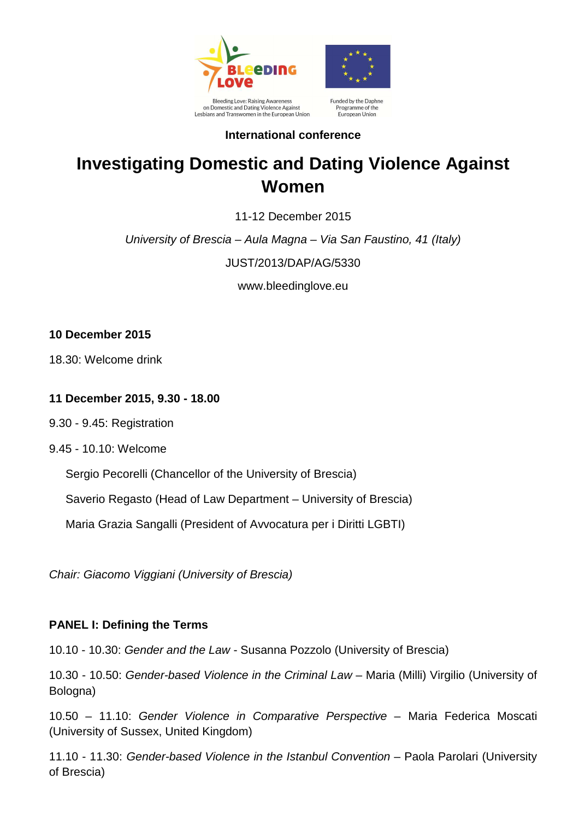

Lesbians and Transwomen in the European Union



Programme of the European Union

# **International conference**

# **Investigating Domestic and Dating Violence Against Women**

11-12 December 2015

University of Brescia – Aula Magna – Via San Faustino, 41 (Italy)

JUST/2013/DAP/AG/5330

www.bleedinglove.eu

# **10 December 2015**

18.30: Welcome drink

## **11 December 2015, 9.30 - 18.00**

- 9.30 9.45: Registration
- 9.45 10.10: Welcome

Sergio Pecorelli (Chancellor of the University of Brescia)

Saverio Regasto (Head of Law Department – University of Brescia)

Maria Grazia Sangalli (President of Avvocatura per i Diritti LGBTI)

Chair: Giacomo Viggiani (University of Brescia)

# **PANEL I: Defining the Terms**

10.10 - 10.30: Gender and the Law - Susanna Pozzolo (University of Brescia)

10.30 - 10.50: Gender-based Violence in the Criminal Law – Maria (Milli) Virgilio (University of Bologna)

10.50 – 11.10: Gender Violence in Comparative Perspective – Maria Federica Moscati (University of Sussex, United Kingdom)

11.10 - 11.30: Gender-based Violence in the Istanbul Convention – Paola Parolari (University of Brescia)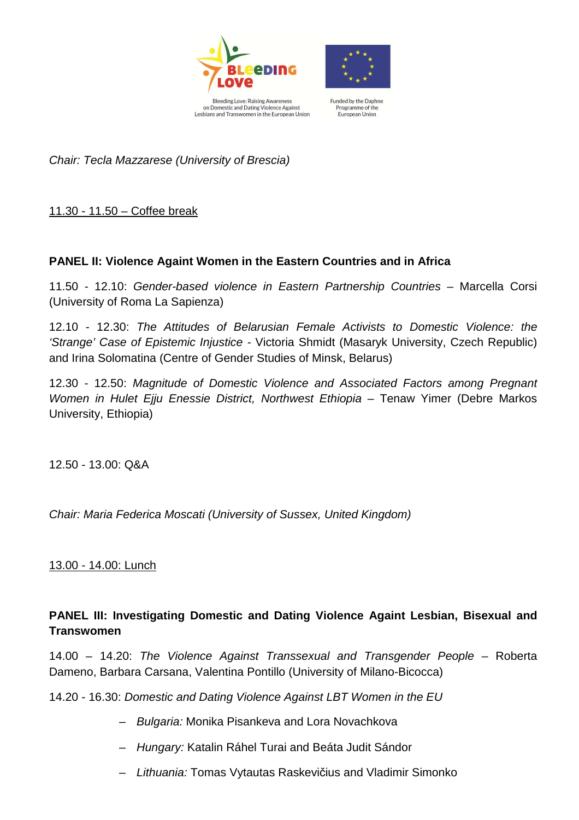

Lesbians and Transwomen in the European Union



Funded by the Daphne Programme of the European Union

Chair: Tecla Mazzarese (University of Brescia)

11.30 - 11.50 – Coffee break

#### **PANEL II: Violence Againt Women in the Eastern Countries and in Africa**

11.50 - 12.10: Gender-based violence in Eastern Partnership Countries – Marcella Corsi (University of Roma La Sapienza)

12.10 - 12.30: The Attitudes of Belarusian Female Activists to Domestic Violence: the 'Strange' Case of Epistemic Injustice - Victoria Shmidt (Masaryk University, Czech Republic) and Irina Solomatina (Centre of Gender Studies of Minsk, Belarus)

12.30 - 12.50: Magnitude of Domestic Violence and Associated Factors among Pregnant Women in Hulet Ejju Enessie District, Northwest Ethiopia - Tenaw Yimer (Debre Markos University, Ethiopia)

12.50 - 13.00: Q&A

Chair: Maria Federica Moscati (University of Sussex, United Kingdom)

13.00 - 14.00: Lunch

# **PANEL III: Investigating Domestic and Dating Violence Againt Lesbian, Bisexual and Transwomen**

14.00 – 14.20: The Violence Against Transsexual and Transgender People – Roberta Dameno, Barbara Carsana, Valentina Pontillo (University of Milano-Bicocca)

14.20 - 16.30: Domestic and Dating Violence Against LBT Women in the EU

- Bulgaria: Monika Pisankeva and Lora Novachkova
- Hungary: Katalin Ráhel Turai and Beáta Judit Sándor
- Lithuania: Tomas Vytautas Raskevičius and Vladimir Simonko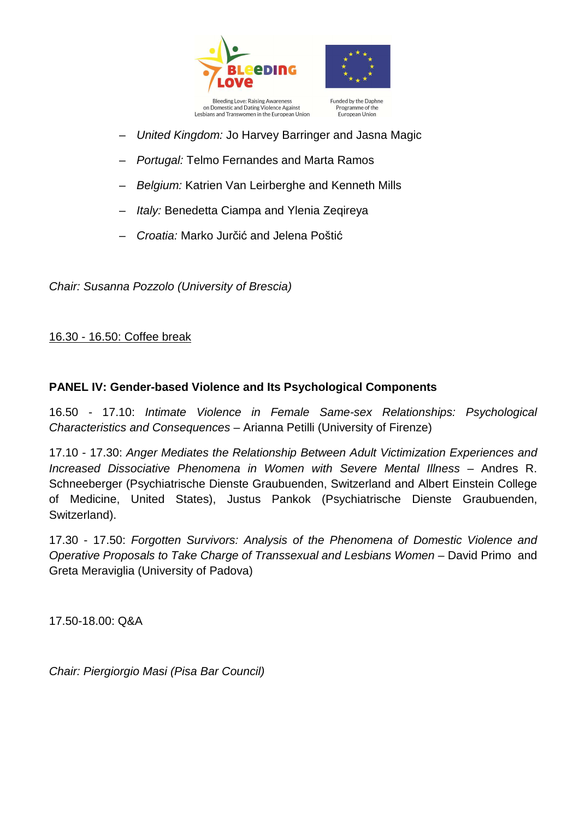



Funded by the Daphne Programme of the European Union

- United Kingdom: Jo Harvey Barringer and Jasna Magic
- Portugal: Telmo Fernandes and Marta Ramos
- Belgium: Katrien Van Leirberghe and Kenneth Mills
- Italy: Benedetta Ciampa and Ylenia Zeqireya
- Croatia: Marko Jurčić and Jelena Poštić

Chair: Susanna Pozzolo (University of Brescia)

#### 16.30 - 16.50: Coffee break

#### **PANEL IV: Gender-based Violence and Its Psychological Components**

16.50 - 17.10: Intimate Violence in Female Same-sex Relationships: Psychological Characteristics and Consequences – Arianna Petilli (University of Firenze)

17.10 - 17.30: Anger Mediates the Relationship Between Adult Victimization Experiences and Increased Dissociative Phenomena in Women with Severe Mental Illness – Andres R. Schneeberger (Psychiatrische Dienste Graubuenden, Switzerland and Albert Einstein College of Medicine, United States), Justus Pankok (Psychiatrische Dienste Graubuenden, Switzerland).

17.30 - 17.50: Forgotten Survivors: Analysis of the Phenomena of Domestic Violence and Operative Proposals to Take Charge of Transsexual and Lesbians Women – David Primo and Greta Meraviglia (University of Padova)

17.50-18.00: Q&A

Chair: Piergiorgio Masi (Pisa Bar Council)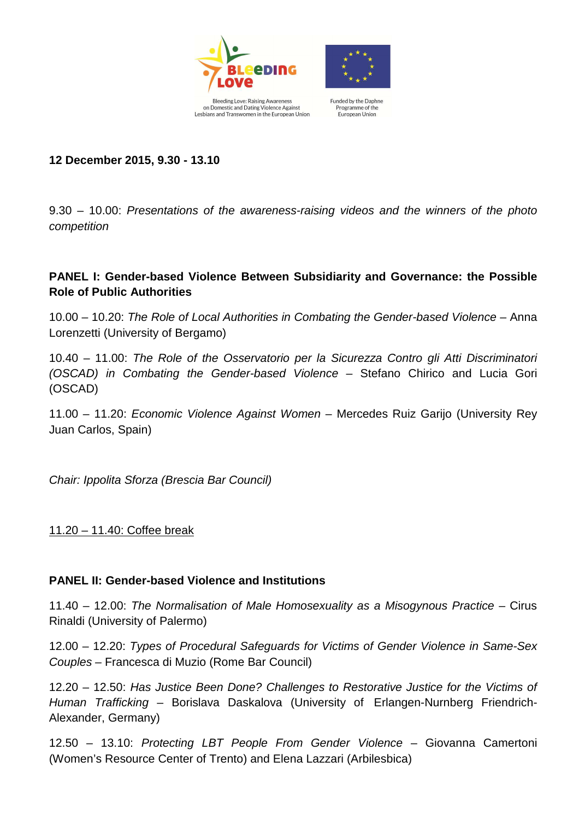



Bleeding Love: Raising Awareness<br>on Domestic and Dating Violence Against Funded by the Daphne Programme of the Lesbians and Transwomen in the European Union European Union

**12 December 2015, 9.30 - 13.10** 

9.30 – 10.00: Presentations of the awareness-raising videos and the winners of the photo competition

## **PANEL I: Gender-based Violence Between Subsidiarity and Governance: the Possible Role of Public Authorities**

10.00 – 10.20: The Role of Local Authorities in Combating the Gender-based Violence – Anna Lorenzetti (University of Bergamo)

10.40 – 11.00: The Role of the Osservatorio per la Sicurezza Contro gli Atti Discriminatori (OSCAD) in Combating the Gender-based Violence – Stefano Chirico and Lucia Gori (OSCAD)

11.00 – 11.20: Economic Violence Against Women – Mercedes Ruiz Garijo (University Rey Juan Carlos, Spain)

Chair: Ippolita Sforza (Brescia Bar Council)

11.20 – 11.40: Coffee break

#### **PANEL II: Gender-based Violence and Institutions**

11.40 – 12.00: The Normalisation of Male Homosexuality as a Misogynous Practice – Cirus Rinaldi (University of Palermo)

12.00 – 12.20: Types of Procedural Safeguards for Victims of Gender Violence in Same-Sex Couples – Francesca di Muzio (Rome Bar Council)

12.20 – 12.50: Has Justice Been Done? Challenges to Restorative Justice for the Victims of Human Trafficking – Borislava Daskalova (University of Erlangen-Nurnberg Friendrich-Alexander, Germany)

12.50 – 13.10: Protecting LBT People From Gender Violence – Giovanna Camertoni (Women's Resource Center of Trento) and Elena Lazzari (Arbilesbica)